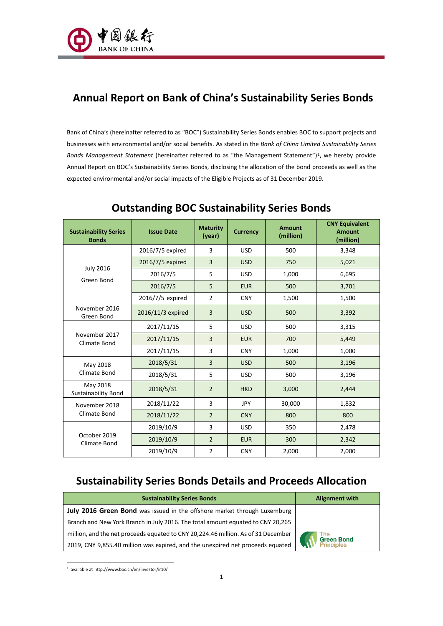

# **Annual Report on Bank of China's Sustainability Series Bonds**

Bank of China's (hereinafter referred to as "BOC") Sustainability Series Bonds enables BOC to support projects and businesses with environmental and/or social benefits. As stated in the *Bank of China Limited Sustainability Series*  Bonds Management Statement (hereinafter referred to as "the Management Statement")<sup>1</sup>, we hereby provide Annual Report on BOC's Sustainability Series Bonds, disclosing the allocation of the bond proceeds as well as the expected environmental and/or social impacts of the Eligible Projects as of 31 December 2019.

| <b>Sustainability Series</b><br><b>Bonds</b> | <b>Issue Date</b> | <b>Maturity</b><br>(year) | <b>Currency</b> | <b>Amount</b><br>(million) | <b>CNY Equivalent</b><br><b>Amount</b><br>(million) |
|----------------------------------------------|-------------------|---------------------------|-----------------|----------------------------|-----------------------------------------------------|
|                                              | 2016/7/5 expired  | 3                         | <b>USD</b>      | 500                        | 3,348                                               |
|                                              | 2016/7/5 expired  | $\overline{3}$            | <b>USD</b>      | 750                        | 5,021                                               |
| <b>July 2016</b><br>Green Bond               | 2016/7/5          | 5                         | <b>USD</b>      | 1,000                      | 6,695                                               |
|                                              | 2016/7/5          | 5                         | <b>EUR</b>      | 500                        | 3,701                                               |
|                                              | 2016/7/5 expired  | 2                         | <b>CNY</b>      | 1,500                      | 1,500                                               |
| November 2016<br>Green Bond                  | 2016/11/3 expired | $\overline{3}$            | <b>USD</b>      | 500                        | 3,392                                               |
| November 2017<br>Climate Bond                | 2017/11/15        | 5                         | <b>USD</b>      | 500                        | 3,315                                               |
|                                              | 2017/11/15        | $\overline{3}$            | <b>EUR</b>      | 700                        | 5,449                                               |
|                                              | 2017/11/15        | $\overline{3}$            | <b>CNY</b>      | 1,000                      | 1,000                                               |
| May 2018                                     | 2018/5/31         | $\overline{3}$            | <b>USD</b>      | 500                        | 3,196                                               |
| Climate Bond                                 | 2018/5/31         | 5                         | <b>USD</b>      | 500                        | 3,196                                               |
| May 2018<br><b>Sustainability Bond</b>       | 2018/5/31         | $\overline{2}$            | <b>HKD</b>      | 3,000                      | 2,444                                               |
| November 2018                                | 2018/11/22        | $\overline{3}$            | <b>JPY</b>      | 30,000                     | 1,832                                               |
| Climate Bond                                 | 2018/11/22        | $\overline{2}$            | <b>CNY</b>      | 800                        | 800                                                 |
|                                              | 2019/10/9         | 3                         | <b>USD</b>      | 350                        | 2,478                                               |
| October 2019<br><b>Climate Bond</b>          | 2019/10/9         | $\overline{2}$            | <b>EUR</b>      | 300                        | 2,342                                               |
|                                              | 2019/10/9         | $\overline{2}$            | <b>CNY</b>      | 2,000                      | 2,000                                               |

## **Outstanding BOC Sustainability Series Bonds**

## **Sustainability Series Bonds Details and Proceeds Allocation**

| <b>Sustainability Series Bonds</b>                                                | <b>Alignment with</b>           |
|-----------------------------------------------------------------------------------|---------------------------------|
| July 2016 Green Bond was issued in the offshore market through Luxemburg          |                                 |
| Branch and New York Branch in July 2016. The total amount equated to CNY 20,265   |                                 |
| million, and the net proceeds equated to CNY 20,224.46 million. As of 31 December |                                 |
| 2019, CNY 9,855.40 million was expired, and the unexpired net proceeds equated    | The<br>Green Bond<br>Principles |

l 1 available at http://www.boc.cn/en/investor/ir10/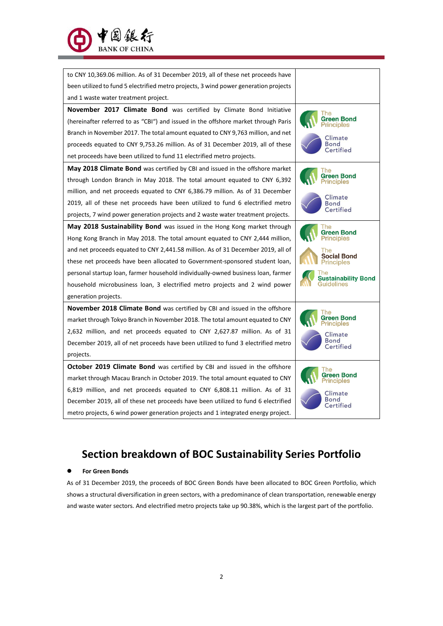

| to CNY 10,369.06 million. As of 31 December 2019, all of these net proceeds have     |                                  |  |
|--------------------------------------------------------------------------------------|----------------------------------|--|
| been utilized to fund 5 electrified metro projects, 3 wind power generation projects |                                  |  |
| and 1 waste water treatment project.                                                 |                                  |  |
| November 2017 Climate Bond was certified by Climate Bond Initiative                  |                                  |  |
| (hereinafter referred to as "CBI") and issued in the offshore market through Paris   | Green Bond<br>Principles         |  |
| Branch in November 2017. The total amount equated to CNY 9,763 million, and net      | Climate                          |  |
| proceeds equated to CNY 9,753.26 million. As of 31 December 2019, all of these       | Bond<br>Certified                |  |
| net proceeds have been utilized to fund 11 electrified metro projects.               |                                  |  |
| <b>May 2018 Climate Bond</b> was certified by CBI and issued in the offshore market  |                                  |  |
| through London Branch in May 2018. The total amount equated to CNY 6,392             | Green Bond<br>Principles         |  |
| million, and net proceeds equated to CNY 6,386.79 million. As of 31 December         | Climate                          |  |
| 2019, all of these net proceeds have been utilized to fund 6 electrified metro       | <b>Bond</b>                      |  |
| projects, 7 wind power generation projects and 2 waste water treatment projects.     | Certified                        |  |
| May 2018 Sustainability Bond was issued in the Hong Kong market through              |                                  |  |
| Hong Kong Branch in May 2018. The total amount equated to CNY 2,444 million,         | Green Bond<br>Principles         |  |
| and net proceeds equated to CNY 2,441.58 million. As of 31 December 2019, all of     | l he                             |  |
| these net proceeds have been allocated to Government-sponsored student loan,         | <b>Social Bond</b><br>Principles |  |
| personal startup loan, farmer household individually-owned business loan, farmer     | <b>Sustainability Bond</b>       |  |
| household microbusiness loan, 3 electrified metro projects and 2 wind power          | Guidelines                       |  |
| generation projects.                                                                 |                                  |  |
| November 2018 Climate Bond was certified by CBI and issued in the offshore           |                                  |  |
| market through Tokyo Branch in November 2018. The total amount equated to CNY        | Green Bond<br>'rinciples         |  |
| 2,632 million, and net proceeds equated to CNY 2,627.87 million. As of 31            | Climate                          |  |
| December 2019, all of net proceeds have been utilized to fund 3 electrified metro    | <b>Bond</b><br>Certified         |  |
| projects.                                                                            |                                  |  |
| October 2019 Climate Bond was certified by CBI and issued in the offshore            |                                  |  |
| market through Macau Branch in October 2019. The total amount equated to CNY         | Green Bond<br>nciples            |  |
| 6,819 million, and net proceeds equated to CNY 6,808.11 million. As of 31            | Climate                          |  |
| December 2019, all of these net proceeds have been utilized to fund 6 electrified    | ertified                         |  |
| metro projects, 6 wind power generation projects and 1 integrated energy project.    |                                  |  |

# **Section breakdown of BOC Sustainability Series Portfolio**

### ⚫ **For Green Bonds**

As of 31 December 2019, the proceeds of BOC Green Bonds have been allocated to BOC Green Portfolio, which shows a structural diversification in green sectors, with a predominance of clean transportation, renewable energy and waste water sectors. And electrified metro projects take up 90.38%, which is the largest part of the portfolio.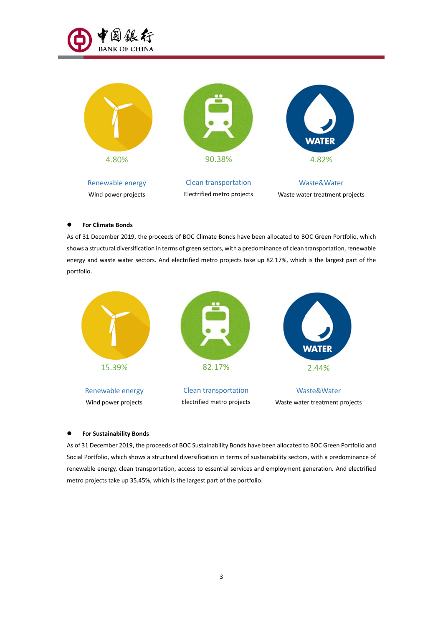



#### ⚫ **For Climate Bonds**

As of 31 December 2019, the proceeds of BOC Climate Bonds have been allocated to BOC Green Portfolio, which shows a structural diversification in terms of green sectors, with a predominance of clean transportation, renewable energy and waste water sectors. And electrified metro projects take up 82.17%, which is the largest part of the portfolio.



#### ⚫ **For Sustainability Bonds**

As of 31 December 2019, the proceeds of BOC Sustainability Bonds have been allocated to BOC Green Portfolio and Social Portfolio, which shows a structural diversification in terms of sustainability sectors, with a predominance of renewable energy, clean transportation, access to essential services and employment generation. And electrified metro projects take up 35.45% which is the largest part of the portfolio.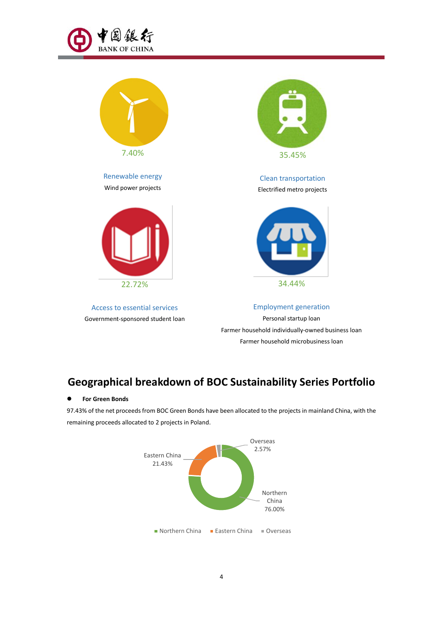



# **Geographical breakdown of BOC Sustainability Series Portfolio**

#### ⚫ **For Green Bonds**

97.43% of the net proceeds from BOC Green Bonds have been allocated to the projects in mainland China, with the remaining proceeds allocated to 2 projects in Poland.

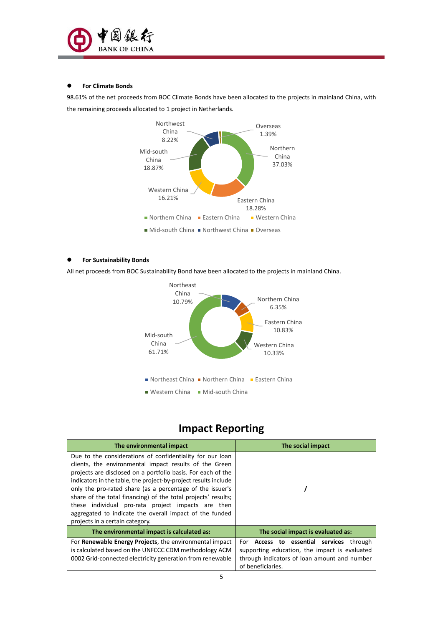

### ⚫ **For Climate Bonds**

98.61% of the net proceeds from BOC Climate Bonds have been allocated to the projects in mainland China, with the remaining proceeds allocated to 1 project in Netherlands.



### ⚫ **For Sustainability Bonds**

All net proceeds from BOC Sustainability Bond have been allocated to the projects in mainland China.



## **Impact Reporting**

| The environmental impact                                                                                                                                                                                                                                                                                                                                                                                                                                                                                                                 | The social impact                                                                                                                                                        |
|------------------------------------------------------------------------------------------------------------------------------------------------------------------------------------------------------------------------------------------------------------------------------------------------------------------------------------------------------------------------------------------------------------------------------------------------------------------------------------------------------------------------------------------|--------------------------------------------------------------------------------------------------------------------------------------------------------------------------|
| Due to the considerations of confidentiality for our loan<br>clients, the environmental impact results of the Green<br>projects are disclosed on a portfolio basis. For each of the<br>indicators in the table, the project-by-project results include<br>only the pro-rated share (as a percentage of the issuer's<br>share of the total financing) of the total projects' results;<br>these individual pro-rata project impacts are then<br>aggregated to indicate the overall impact of the funded<br>projects in a certain category. |                                                                                                                                                                          |
| The environmental impact is calculated as:                                                                                                                                                                                                                                                                                                                                                                                                                                                                                               | The social impact is evaluated as:                                                                                                                                       |
| For Renewable Energy Projects, the environmental impact<br>is calculated based on the UNFCCC CDM methodology ACM<br>0002 Grid-connected electricity generation from renewable                                                                                                                                                                                                                                                                                                                                                            | For <b>Access to essential services</b><br>through<br>supporting education, the impact is evaluated<br>through indicators of loan amount and number<br>of beneficiaries. |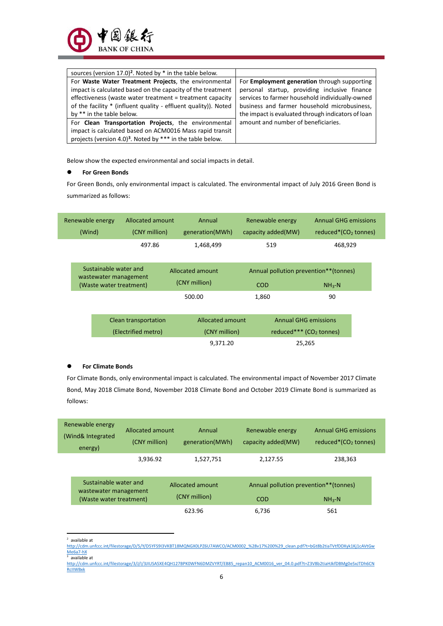| sources (version 17.0) <sup>2</sup> . Noted by * in the table below.   |                                                     |
|------------------------------------------------------------------------|-----------------------------------------------------|
| For Waste Water Treatment Projects, the environmental                  | For <b>Employment generation</b> through supporting |
| impact is calculated based on the capacity of the treatment            | personal startup, providing inclusive finance       |
| effectiveness (waste water treatment = treatment capacity              | services to farmer household individually-owned     |
| of the facility * (influent quality - effluent quality)). Noted        | business and farmer household microbusiness,        |
| by ** in the table below.                                              | the impact is evaluated through indicators of loan  |
| For <b>Clean Transportation Projects</b> , the environmental           | amount and number of beneficiaries.                 |
| impact is calculated based on ACM0016 Mass rapid transit               |                                                     |
| projects (version 4.0) <sup>3</sup> . Noted by *** in the table below. |                                                     |

Below show the expected environmental and social impacts in detail.

#### ⚫ **For Green Bonds**

For Green Bonds, only environmental impact is calculated. The environmental impact of July 2016 Green Bond is summarized as follows:

| Renewable energy<br>(Wind) | Allocated amount<br>(CNY million)              | Annual<br>generation(MWh)         | Renewable energy<br>capacity added(MW) | Annual GHG emissions<br>reduced* $(CO2$ tonnes) |
|----------------------------|------------------------------------------------|-----------------------------------|----------------------------------------|-------------------------------------------------|
|                            | 497.86                                         | 1,468,499                         | 519                                    | 468,929                                         |
|                            | Sustainable water and<br>wastewater management | Allocated amount<br>(CNY million) |                                        | Annual pollution prevention**(tonnes)           |
|                            | (Waste water treatment)                        |                                   | <b>COD</b>                             | $NH3-N$                                         |
|                            |                                                | 500.00                            | 1,860                                  | 90                                              |
|                            | Clean transportation                           | Allocated amount                  |                                        | <b>Annual GHG emissions</b>                     |
|                            | (Electrified metro)                            | (CNY million)                     |                                        | reduced*** $(CO2$ tonnes)                       |
|                            |                                                | 9,371.20                          |                                        | 25,265                                          |

#### ⚫ **For Climate Bonds**

For Climate Bonds, only environmental impact is calculated. The environmental impact of November 2017 Climate Bond, May 2018 Climate Bond, November 2018 Climate Bond and October 2019 Climate Bond is summarized as follows:

| Renewable energy<br>(Wind& Integrated<br>energy) | Allocated amount<br>(CNY million)                                         | Annual<br>generation(MWh)         | Renewable energy<br>capacity added(MW)       | <b>Annual GHG emissions</b><br>reduced* $(CO2$ tonnes) |
|--------------------------------------------------|---------------------------------------------------------------------------|-----------------------------------|----------------------------------------------|--------------------------------------------------------|
|                                                  | 3,936.92                                                                  | 1,527,751                         | 2,127.55                                     | 238,363                                                |
|                                                  | Sustainable water and<br>wastewater management<br>(Waste water treatment) | Allocated amount<br>(CNY million) | Annual pollution prevention**(tonnes)<br>COD | $NH_{3}-N$                                             |
|                                                  |                                                                           | 623.96                            | 6.736                                        | 561                                                    |

l 2 available at

[http://cdm.unfccc.int/filestorage/D/5/Y/D5YFS9I3VKBT18MQNGX0LPZ6U7AWCO/ACM0002\\_%28v17%200%29\\_clean.pdf?t=bGt8b2tiaTVtfDDXyk1Kj1cAVtGw](http://cdm.unfccc.int/filestorage/D/5/Y/D5YFS9I3VKBT18MQNGX0LPZ6U7AWCO/ACM0002_%28v17%200%29_clean.pdf?t=bGt8b2tiaTVtfDDXyk1Kj1cAVtGwMe6a7-hX) [Me6a7-hX](http://cdm.unfccc.int/filestorage/D/5/Y/D5YFS9I3VKBT18MQNGX0LPZ6U7AWCO/ACM0002_%28v17%200%29_clean.pdf?t=bGt8b2tiaTVtfDDXyk1Kj1cAVtGwMe6a7-hX) 3 available at

[http://cdm.unfccc.int/filestorage/3/J/I/3JIUSA5XE4QH127BPK0WFN6DMZVYRT/EB85\\_repan10\\_ACM0016\\_ver\\_04.0.pdf?t=Z3V8b2tiaHJkfDBMg0eSxJTDh6CN](http://cdm.unfccc.int/filestorage/3/J/I/3JIUSA5XE4QH127BPK0WFN6DMZVYRT/EB85_repan10_ACM0016_ver_04.0.pdf?t=Z3V8b2tiaHJkfDBMg0eSxJTDh6CNRcIIWBxk) [RcIIWBxk](http://cdm.unfccc.int/filestorage/3/J/I/3JIUSA5XE4QH127BPK0WFN6DMZVYRT/EB85_repan10_ACM0016_ver_04.0.pdf?t=Z3V8b2tiaHJkfDBMg0eSxJTDh6CNRcIIWBxk)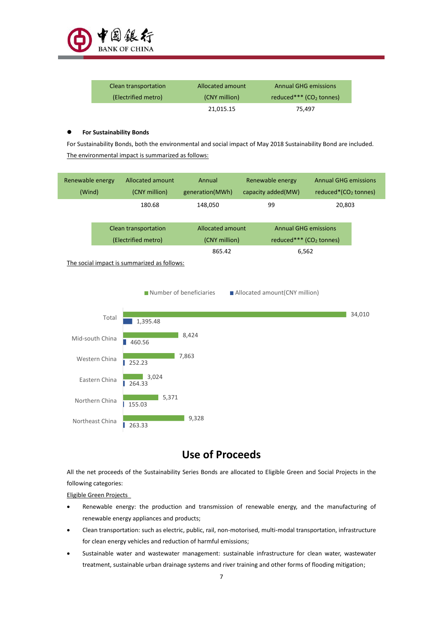

| Clean transportation | Allocated amount | Annual GHG emissions      |
|----------------------|------------------|---------------------------|
| (Electrified metro)  | (CNY million)    | reduced*** $(CO2$ tonnes) |
|                      | 21,015.15        | 75.497                    |

#### ⚫ **For Sustainability Bonds**

For Sustainability Bonds, both the environmental and social impact of May 2018 Sustainability Bond are included. The environmental impact is summarized as follows:

| Renewable energy<br>(Wind) |                      | Allocated amount<br>(CNY million)           | Annual<br>generation(MWh) | Renewable energy<br>capacity added(MW) | <b>Annual GHG emissions</b><br>reduced $*(CO2$ tonnes) |  |
|----------------------------|----------------------|---------------------------------------------|---------------------------|----------------------------------------|--------------------------------------------------------|--|
|                            |                      | 180.68                                      | 148,050                   | 99                                     | 20,803                                                 |  |
|                            | Clean transportation |                                             | Allocated amount          |                                        | <b>Annual GHG emissions</b>                            |  |
|                            |                      | (Electrified metro)                         | (CNY million)             |                                        | reduced*** $(CO2$ tonnes)                              |  |
|                            |                      |                                             | 865.42                    |                                        | 6,562                                                  |  |
|                            |                      | The social impact is summarized as follows: |                           |                                        |                                                        |  |

34,010 Total 1,395.48 ٦ 8,424 Mid-south China 460.56  $\blacksquare$  7,863 Western China ■ 252.23  $\frac{1}{3,024}$ Eastern China 264.33 5,371 Northern China 155.03  $9,328$ Northeast China 263.33

■ Number of beneficiaries ■ Allocated amount(CNY million)

### **Use of Proceeds**

All the net proceeds of the Sustainability Series Bonds are allocated to Eligible Green and Social Projects in the following categories:

Eligible Green Projects

- Renewable energy: the production and transmission of renewable energy and the manufacturing of renewable energy appliances and products;
- Clean transportation: such as electric, public, rail, non-motorised, multi-modal transportation, infrastructure for clean energy vehicles and reduction of harmful emissions;
- Sustainable water and wastewater management: sustainable infrastructure for clean water, wastewater treatment, sustainable urban drainage systems and river training and other forms of flooding mitigation;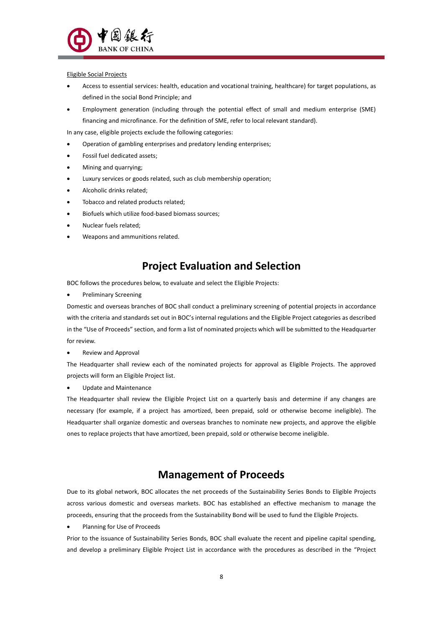

#### Eligible Social Projects

- Access to essential services: health, education and vocational training, healthcare) for target populations, as defined in the social Bond Principle; and
- Employment generation (including through the potential effect of small and medium enterprise (SME) financing and microfinance. For the definition of SME, refer to local relevant standard).

In any case, eligible projects exclude the following categories:

- Operation of gambling enterprises and predatory lending enterprises;
- Fossil fuel dedicated assets;
- Mining and quarrying;
- Luxury services or goods related, such as club membership operation;
- Alcoholic drinks related;
- Tobacco and related products related;
- Biofuels which utilize food-based biomass sources;
- Nuclear fuels related;
- Weapons and ammunitions related.

### **Project Evaluation and Selection**

BOC follows the procedures below, to evaluate and select the Eligible Projects:

• Preliminary Screening

Domestic and overseas branches of BOC shall conduct a preliminary screening of potential projects in accordance with the criteria and standards set out in BOC's internal regulations and the Eligible Project categories as described in the "Use of Proceeds" section, and form a list of nominated projects which will be submitted to the Headquarter for review.

• Review and Approval

The Headquarter shall review each of the nominated projects for approval as Eligible Projects. The approved projects will form an Eligible Project list.

• Update and Maintenance

The Headquarter shall review the Eligible Project List on a quarterly basis and determine if any changes are necessary (for example, if a project has amortized, been prepaid, sold or otherwise become ineligible). The Headquarter shall organize domestic and overseas branches to nominate new projects, and approve the eligible ones to replace projects that have amortized, been prepaid, sold or otherwise become ineligible.

### **Management of Proceeds**

Due to its global network, BOC allocates the net proceeds of the Sustainability Series Bonds to Eligible Projects across various domestic and overseas markets. BOC has established an effective mechanism to manage the proceeds ensuring that the proceeds from the Sustainability Bond will be used to fund the Eligible Projects.

• Planning for Use of Proceeds

Prior to the issuance of Sustainability Series Bonds, BOC shall evaluate the recent and pipeline capital spending, and develop a preliminary Eligible Project List in accordance with the procedures as described in the "Project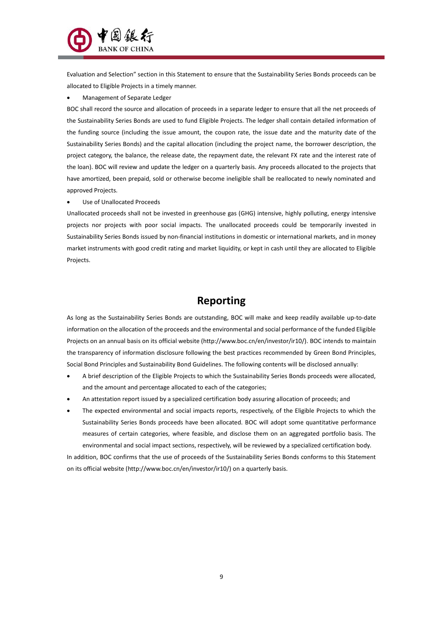

Evaluation and Selection" section in this Statement to ensure that the Sustainability Series Bonds proceeds can be allocated to Eligible Projects in a timely manner.

• Management of Separate Ledger

BOC shall record the source and allocation of proceeds in a separate ledger to ensure that all the net proceeds of the Sustainability Series Bonds are used to fund Eligible Projects. The ledger shall contain detailed information of the funding source (including the issue amount, the coupon rate, the issue date and the maturity date of the Sustainability Series Bonds) and the capital allocation (including the project name, the borrower description, the project category, the balance, the release date, the repayment date, the relevant FX rate and the interest rate of the loan). BOC will review and update the ledger on a quarterly basis. Any proceeds allocated to the projects that have amortized, been prepaid, sold or otherwise become ineligible shall be reallocated to newly nominated and approved Projects.

Use of Unallocated Proceeds

Unallocated proceeds shall not be invested in greenhouse gas (GHG) intensive highly polluting energy intensive projects nor projects with poor social impacts. The unallocated proceeds could be temporarily invested in Sustainability Series Bonds issued by non-financial institutions in domestic or international markets, and in money market instruments with good credit rating and market liquidity or kept in cash until they are allocated to Eligible Projects.

### **Reporting**

As long as the Sustainability Series Bonds are outstanding, BOC will make and keep readily available up-to-date information on the allocation of the proceeds and the environmental and social performance of the funded Eligible Projects on an annual basis on its official website (http://www.boc.cn/en/investor/ir10/). BOC intends to maintain the transparency of information disclosure following the best practices recommended by Green Bond Principles Social Bond Principles and Sustainability Bond Guidelines. The following contents will be disclosed annually:

- A brief description of the Eligible Projects to which the Sustainability Series Bonds proceeds were allocated and the amount and percentage allocated to each of the categories;
- An attestation report issued by a specialized certification body assuring allocation of proceeds; and
- The expected environmental and social impacts reports, respectively, of the Eligible Projects to which the Sustainability Series Bonds proceeds have been allocated. BOC will adopt some quantitative performance measures of certain categories, where feasible, and disclose them on an aggregated portfolio basis. The environmental and social impact sections, respectively, will be reviewed by a specialized certification body.

In addition, BOC confirms that the use of proceeds of the Sustainability Series Bonds conforms to this Statement on its official website [\(http://www.boc.cn/en/investor/ir10/\)](http://www.boc.cn/en/investor/ir10/) on a quarterly basis.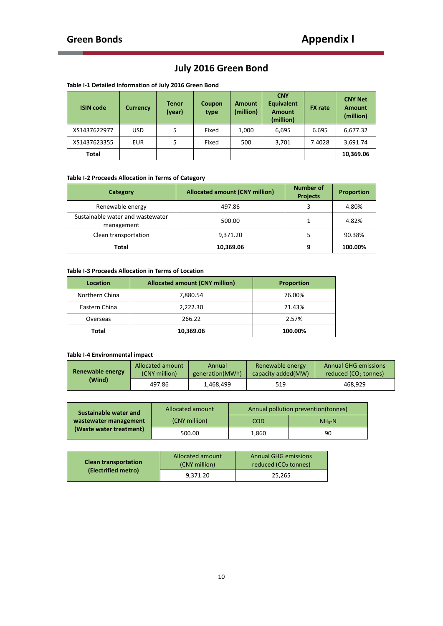t

# **July 2016 Green Bond**

| <b>ISIN code</b> | <b>Currency</b> | <b>Tenor</b><br>(year) | Coupon<br>type | <b>Amount</b><br>(million) | <b>CNY</b><br><b>Equivalent</b><br><b>Amount</b><br>(million) | <b>FX</b> rate | <b>CNY Net</b><br><b>Amount</b><br>(million) |
|------------------|-----------------|------------------------|----------------|----------------------------|---------------------------------------------------------------|----------------|----------------------------------------------|
| XS1437622977     | <b>USD</b>      | 5                      | Fixed          | 1,000                      | 6,695                                                         | 6.695          | 6,677.32                                     |
| XS1437623355     | <b>EUR</b>      | 5                      | Fixed          | 500                        | 3,701                                                         | 7.4028         | 3,691.74                                     |
| Total            |                 |                        |                |                            |                                                               |                | 10,369.06                                    |

### **Table I-1 Detailed Information of July 2016 Green Bond**

### **Table I-2 Proceeds Allocation in Terms of Category**

| Category                                       | <b>Allocated amount (CNY million)</b> | <b>Number of</b><br><b>Projects</b> | <b>Proportion</b> |
|------------------------------------------------|---------------------------------------|-------------------------------------|-------------------|
| Renewable energy                               | 497.86                                | 3                                   | 4.80%             |
| Sustainable water and wastewater<br>management | 500.00                                |                                     | 4.82%             |
| Clean transportation                           | 9,371.20                              |                                     | 90.38%            |
| Total                                          | 10,369.06                             | 9                                   | 100.00%           |

#### **Table I-3 Proceeds Allocation in Terms of Location**

| <b>Location</b> | <b>Allocated amount (CNY million)</b> | <b>Proportion</b> |
|-----------------|---------------------------------------|-------------------|
| Northern China  | 7,880.54                              | 76.00%            |
| Eastern China   | 2,222.30                              | 21.43%            |
| Overseas        | 266.22                                | 2.57%             |
| <b>Total</b>    | 10,369.06                             | 100.00%           |

### **Table I-4 Environmental impact**

| Renewable energy | Allocated amount | Annual          | Renewable energy    | <b>Annual GHG emissions</b> |
|------------------|------------------|-----------------|---------------------|-----------------------------|
|                  | (CNY million)    | generation(MWh) | capacity added (MW) | reduced $(CO2$ tonnes)      |
| (Wind)           | 497.86           | 1.468.499       | 519                 | 468.929                     |

| Sustainable water and                            | Allocated amount | Annual pollution prevention (tonnes) |         |  |
|--------------------------------------------------|------------------|--------------------------------------|---------|--|
| wastewater management<br>(Waste water treatment) | (CNY million)    | COD                                  | $NH3-N$ |  |
|                                                  | 500.00           | 1,860                                | 90      |  |

| <b>Clean transportation</b><br>(Electrified metro) | <b>Allocated amount</b><br>(CNY million) | <b>Annual GHG emissions</b><br>reduced $(CO2$ tonnes) |  |
|----------------------------------------------------|------------------------------------------|-------------------------------------------------------|--|
|                                                    | 9.371.20                                 | 25.265                                                |  |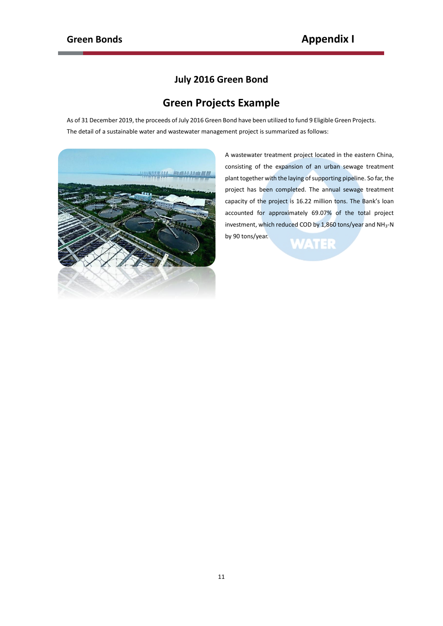### **July 2016 Green Bond**

## **Green Projects Example**

As of 31 December 2019, the proceeds of July 2016 Green Bond have been utilized to fund 9 Eligible Green Projects. The detail of a sustainable water and wastewater management project is summarized as follows:



A wastewater treatment project located in the eastern China consisting of the expansion of an urban sewage treatment plant together with the laying of supporting pipeline. So far, the project has been completed. The annual sewage treatment capacity of the project is 16.22 million tons. The Bank's loan accounted for approximately 69.07% of the total project investment, which reduced COD by 1,860 tons/year and NH<sub>3</sub>-N by 90 tons/year.**WATER**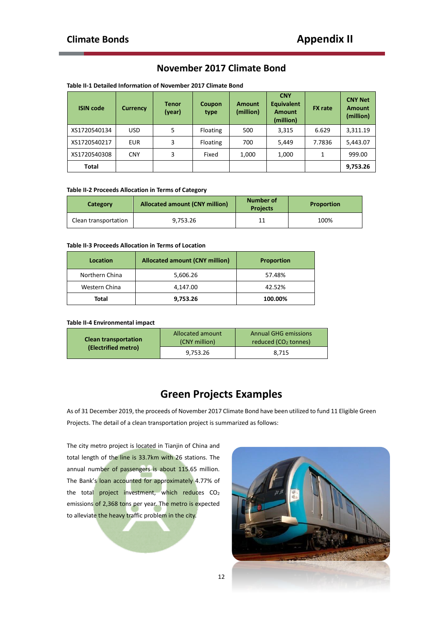### **November 2017 Climate Bond**

| <b>ISIN code</b> | <b>Currency</b> | <b>Tenor</b><br>(year) | Coupon<br>type  | <b>Amount</b><br>(million) | <b>CNY</b><br><b>Equivalent</b><br><b>Amount</b><br>(million) | <b>FX</b> rate | <b>CNY Net</b><br><b>Amount</b><br>(million) |
|------------------|-----------------|------------------------|-----------------|----------------------------|---------------------------------------------------------------|----------------|----------------------------------------------|
| XS1720540134     | <b>USD</b>      | 5                      | Floating        | 500                        | 3,315                                                         | 6.629          | 3,311.19                                     |
| XS1720540217     | <b>EUR</b>      | 3                      | <b>Floating</b> | 700                        | 5,449                                                         | 7.7836         | 5,443.07                                     |
| XS1720540308     | <b>CNY</b>      | 3                      | Fixed           | 1,000                      | 1,000                                                         | 1              | 999.00                                       |
| Total            |                 |                        |                 |                            |                                                               |                | 9,753.26                                     |

### **Table II-1 Detailed Information of November 2017 Climate Bond**

#### **Table II-2 Proceeds Allocation in Terms of Category**

| <b>Category</b>      | <b>Allocated amount (CNY million)</b> | Number of<br><b>Projects</b> | <b>Proportion</b> |
|----------------------|---------------------------------------|------------------------------|-------------------|
| Clean transportation | 9.753.26                              |                              | 100%              |

#### **Table II-3 Proceeds Allocation in Terms of Location**

| Location       | <b>Allocated amount (CNY million)</b> | <b>Proportion</b> |
|----------------|---------------------------------------|-------------------|
| Northern China | 5,606.26                              | 57.48%            |
| Western China  | 4.147.00                              | 42.52%            |
| Total          | 9,753.26                              | 100.00%           |

#### **Table II-4 Environmental impact**

| <b>Clean transportation</b><br>(Electrified metro) | <b>Allocated amount</b><br>(CNY million) | <b>Annual GHG emissions</b><br>reduced (CO <sub>2</sub> tonnes) |  |
|----------------------------------------------------|------------------------------------------|-----------------------------------------------------------------|--|
|                                                    | 9.753.26                                 | 8.715                                                           |  |

### **Green Projects Examples**

As of 31 December 2019, the proceeds of November 2017 Climate Bond have been utilized to fund 11 Eligible Green Projects. The detail of a clean transportation project is summarized as follows:

The city metro project is located in Tianjin of China and total length of the line is 33.7km with 26 stations. The annual number of passengers is about 115.65 million. The Bank's loan accounted for approximately 4.77% of the total project investment, which reduces  $CO<sub>2</sub>$ emissions of 2,368 tons per year. The metro is expected to alleviate the heavy traffic problem in the city.

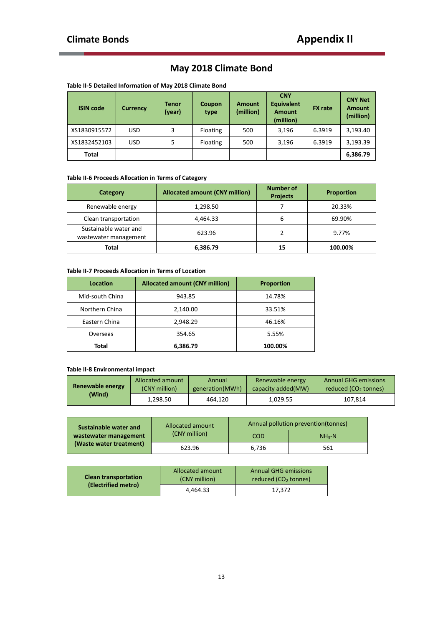## **May 2018 Climate Bond**

| <b>ISIN code</b> | <b>Currency</b> | <b>Tenor</b><br>(year) | <b>Coupon</b><br>type | <b>Amount</b><br>(million) | <b>CNY</b><br><b>Equivalent</b><br><b>Amount</b><br>(million) | <b>FX</b> rate | <b>CNY Net</b><br><b>Amount</b><br>(million) |
|------------------|-----------------|------------------------|-----------------------|----------------------------|---------------------------------------------------------------|----------------|----------------------------------------------|
| XS1830915572     | <b>USD</b>      | 3                      | Floating              | 500                        | 3,196                                                         | 6.3919         | 3,193.40                                     |
| XS1832452103     | <b>USD</b>      | 5                      | Floating              | 500                        | 3,196                                                         | 6.3919         | 3,193.39                                     |
| Total            |                 |                        |                       |                            |                                                               |                | 6,386.79                                     |

### **Table II-6 Proceeds Allocation in Terms of Category**

| Category                                       | <b>Allocated amount (CNY million)</b> | <b>Number of</b><br><b>Projects</b> | <b>Proportion</b> |
|------------------------------------------------|---------------------------------------|-------------------------------------|-------------------|
| Renewable energy                               | 1,298.50                              |                                     | 20.33%            |
| Clean transportation                           | 4,464.33                              | 6                                   | 69.90%            |
| Sustainable water and<br>wastewater management | 623.96                                |                                     | 9.77%             |
| Total                                          | 6,386.79                              | 15                                  | 100.00%           |

#### **Table II-7 Proceeds Allocation in Terms of Location**

| Location        | <b>Allocated amount (CNY million)</b> | <b>Proportion</b> |
|-----------------|---------------------------------------|-------------------|
| Mid-south China | 943.85                                | 14.78%            |
| Northern China  | 2,140.00                              | 33.51%            |
| Eastern China   | 2,948.29                              | 46.16%            |
| Overseas        | 354.65                                | 5.55%             |
| Total           | 6,386.79                              | 100.00%           |

### **Table II-8 Environmental impact**

| Renewable energy | Allocated amount | Annual          | Renewable energy    | <b>Annual GHG emissions</b>      |
|------------------|------------------|-----------------|---------------------|----------------------------------|
|                  | (CNY million)    | generation(MWh) | capacity added (MW) | reduced (CO <sub>2</sub> tonnes) |
| (Wind)           | 1.298.50         | 464.120         | 1.029.55            | 107.814                          |

| Sustainable water and   | Allocated amount<br>(CNY million) | Annual pollution prevention(tonnes) |         |  |
|-------------------------|-----------------------------------|-------------------------------------|---------|--|
| wastewater management   |                                   | COD                                 | $NH3-N$ |  |
| (Waste water treatment) | 623.96                            | 6.736                               | 561     |  |

| <b>Clean transportation</b><br>(Electrified metro) | Allocated amount<br>(CNY million) | <b>Annual GHG emissions</b><br>reduced (CO <sub>2</sub> tonnes) |  |
|----------------------------------------------------|-----------------------------------|-----------------------------------------------------------------|--|
|                                                    | 4.464.33                          | 17.372                                                          |  |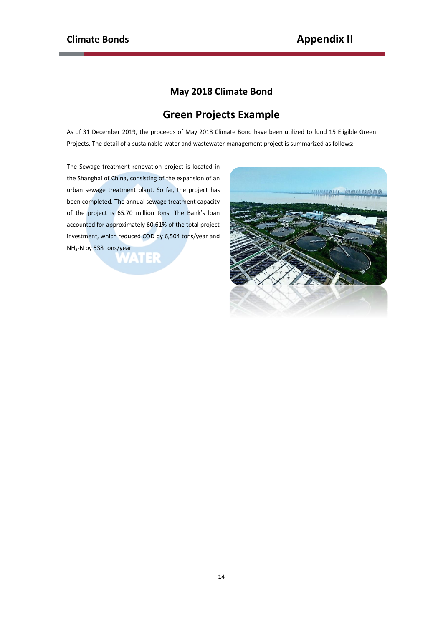### **May 2018 Climate Bond**

# **Green Projects Example**

As of 31 December 2019, the proceeds of May 2018 Climate Bond have been utilized to fund 15 Eligible Green Projects. The detail of a sustainable water and wastewater management project is summarized as follows:

The Sewage treatment renovation project is located in the Shanghai of China, consisting of the expansion of an urban sewage treatment plant. So far, the project has been completed. The annual sewage treatment capacity of the project is 65.70 million tons. The Bank's loan accounted for approximately 60.61% of the total project investment, which reduced COD by 6,504 tons/year and NH3-N by 538 tons/year

**WATER** 

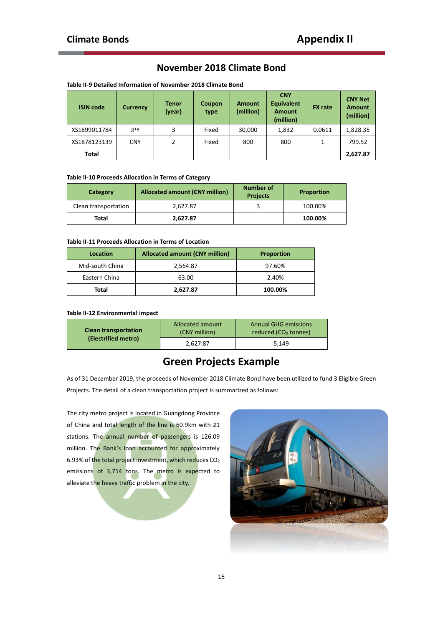### **November 2018 Climate Bond**

| <b>ISIN code</b> | Currency   | <b>Tenor</b><br>(year) | Coupon<br>type | <b>Amount</b><br>(million) | <b>CNY</b><br><b>Equivalent</b><br><b>Amount</b><br>(million) | <b>FX</b> rate | <b>CNY Net</b><br><b>Amount</b><br>(million) |
|------------------|------------|------------------------|----------------|----------------------------|---------------------------------------------------------------|----------------|----------------------------------------------|
| XS1899011784     | JPY        | 3                      | Fixed          | 30,000                     | 1,832                                                         | 0.0611         | 1,828.35                                     |
| XS1878123139     | <b>CNY</b> | 2                      | Fixed          | 800                        | 800                                                           | 1              | 799.52                                       |
| <b>Total</b>     |            |                        |                |                            |                                                               |                | 2,627.87                                     |

**Table II-9 Detailed Information of November 2018 Climate Bond**

#### **Table II-10 Proceeds Allocation in Terms of Category**

| Category             | <b>Allocated amount (CNY million)</b> | Number of<br><b>Projects</b> | <b>Proportion</b> |
|----------------------|---------------------------------------|------------------------------|-------------------|
| Clean transportation | 2.627.87                              |                              | 100.00%           |
| Total                | 2.627.87                              |                              | 100.00%           |

#### **Table II-11 Proceeds Allocation in Terms of Location**

| Location        | <b>Allocated amount (CNY million)</b> | <b>Proportion</b> |
|-----------------|---------------------------------------|-------------------|
| Mid-south China | 2,564.87                              | 97.60%            |
| Eastern China   | 63.00                                 | 2.40%             |
| Total           | 2.627.87                              | 100.00%           |

### **Table II-12 Environmental impact**

| <b>Clean transportation</b><br>(Electrified metro) | <b>Allocated amount</b><br>(CNY million) | <b>Annual GHG emissions</b><br>reduced (CO <sub>2</sub> tonnes) |
|----------------------------------------------------|------------------------------------------|-----------------------------------------------------------------|
|                                                    | 2.627.87                                 | 5,149                                                           |

# **Green Projects Example**

As of 31 December 2019, the proceeds of November 2018 Climate Bond have been utilized to fund 3 Eligible Green Projects. The detail of a clean transportation project is summarized as follows:

The city metro project is located in Guangdong Province of China and total length of the line is 60.9km with 21 stations. The annual number of passengers is 126.09 million. The Bank's loan accounted for approximately 6.93% of the total project investment, which reduces  $CO<sub>2</sub>$ emissions of 3,754 tons. The metro is expected to alleviate the heavy traffic problem in the city.

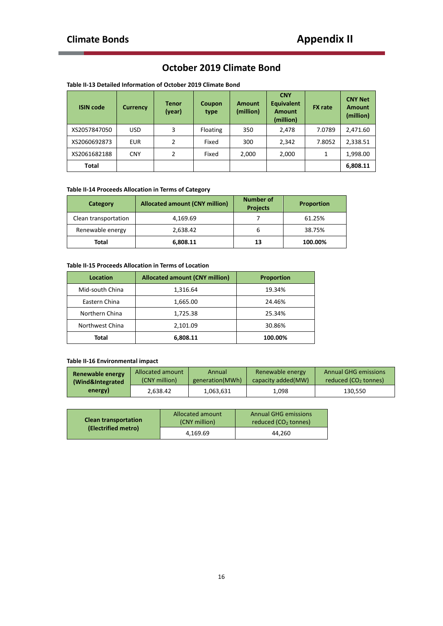### **October 2019 Climate Bond**

| <b>ISIN code</b> | <b>Currency</b> | <b>Tenor</b><br>(year) | <b>Coupon</b><br>type | <b>Amount</b><br>(million) | <b>CNY</b><br><b>Equivalent</b><br><b>Amount</b><br>(million) | <b>FX</b> rate | <b>CNY Net</b><br><b>Amount</b><br>(million) |
|------------------|-----------------|------------------------|-----------------------|----------------------------|---------------------------------------------------------------|----------------|----------------------------------------------|
| XS2057847050     | <b>USD</b>      | 3                      | Floating              | 350                        | 2,478                                                         | 7.0789         | 2,471.60                                     |
| XS2060692873     | <b>EUR</b>      | 2                      | Fixed                 | 300                        | 2,342                                                         | 7.8052         | 2,338.51                                     |
| XS2061682188     | <b>CNY</b>      | 2                      | Fixed                 | 2,000                      | 2,000                                                         | 1              | 1,998.00                                     |
| <b>Total</b>     |                 |                        |                       |                            |                                                               |                | 6,808.11                                     |

### **Table II-13 Detailed Information of October 2019 Climate Bond**

### **Table II-14 Proceeds Allocation in Terms of Category**

| Category             | <b>Allocated amount (CNY million)</b> | <b>Number of</b><br><b>Projects</b> | <b>Proportion</b> |
|----------------------|---------------------------------------|-------------------------------------|-------------------|
| Clean transportation | 4,169.69                              |                                     | 61.25%            |
| Renewable energy     | 2,638.42                              |                                     | 38.75%            |
| Total                | 6,808.11                              | 13                                  | 100.00%           |

### **Table II-15 Proceeds Allocation in Terms of Location**

| Location        | <b>Allocated amount (CNY million)</b> | <b>Proportion</b> |
|-----------------|---------------------------------------|-------------------|
| Mid-south China | 1,316.64                              | 19.34%            |
| Eastern China   | 1,665.00                              | 24.46%            |
| Northern China  | 1,725.38                              | 25.34%            |
| Northwest China | 2,101.09                              | 30.86%            |
| Total           | 6,808.11                              | 100.00%           |

### **Table II-16 Environmental impact**

| Renewable energy | Allocated amount | Annual          | Renewable energy    | <b>Annual GHG emissions</b>      |
|------------------|------------------|-----------------|---------------------|----------------------------------|
| (Wind&Integrated | (CNY million)    | generation(MWh) | capacity added (MW) | reduced (CO <sub>2</sub> tonnes) |
| energy)          | 2.638.42         | 1.063.631       | 1.098               | 130.550                          |

| <b>Clean transportation</b><br>(Electrified metro) | <b>Allocated amount</b><br>(CNY million) | <b>Annual GHG emissions</b><br>reduced (CO <sub>2</sub> tonnes) |  |
|----------------------------------------------------|------------------------------------------|-----------------------------------------------------------------|--|
|                                                    | 4.169.69                                 | 44.260                                                          |  |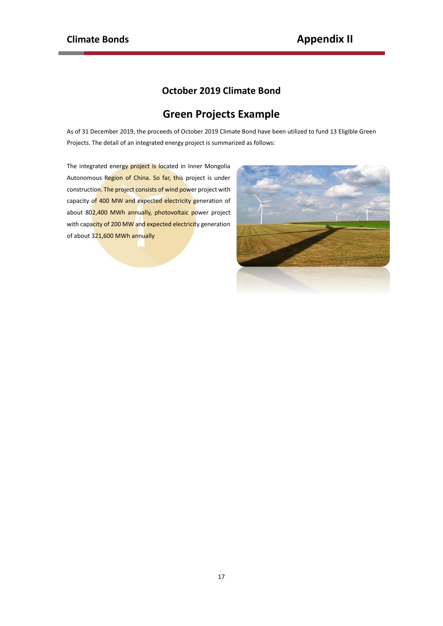### **October 2019 Climate Bond**

# **Green Projects Example**

As of 31 December 2019, the proceeds of October 2019 Climate Bond have been utilized to fund 13 Eligible Green Projects. The detail of an integrated energy project is summarized as follows:

The integrated energy project is located in Inner Mongolia Autonomous Region of China. So far, this project is under construction. The project consists of wind power project with capacity of 400 MW and expected electricity generation of about 802,400 MWh annually, [photovoltaic](javascript:;) power project with capacity of 200 MW and expected electricity generation of about 321,600 MWh annually

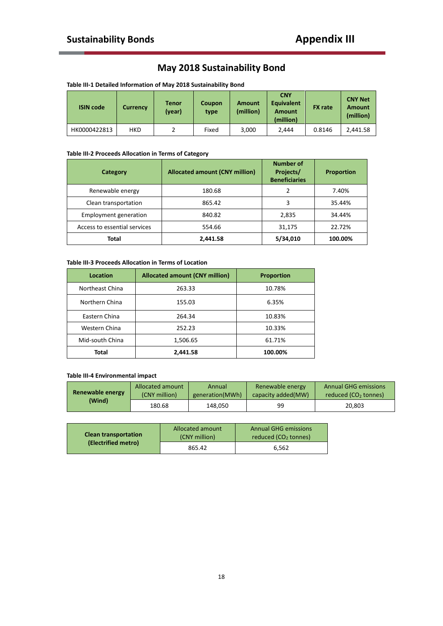## **May 2018 Sustainability Bond**

| <b>ISIN code</b> | <b>Currency</b> | Tenor<br>(year) | Coupon<br>type | <b>Amount</b><br>(million) | <b>CNY</b><br><b>Equivalent</b><br><b>Amount</b><br>(million) | <b>FX</b> rate | <b>CNY Net</b><br><b>Amount</b><br>(million) |
|------------------|-----------------|-----------------|----------------|----------------------------|---------------------------------------------------------------|----------------|----------------------------------------------|
| HK0000422813     | <b>HKD</b>      |                 | Fixed          | 3,000                      | 2.444                                                         | 0.8146         | 2,441.58                                     |

### **Table III-2 Proceeds Allocation in Terms of Category**

| Category                     | <b>Allocated amount (CNY million)</b> | <b>Number of</b><br>Projects/<br><b>Beneficiaries</b> | <b>Proportion</b> |  |
|------------------------------|---------------------------------------|-------------------------------------------------------|-------------------|--|
| Renewable energy             | 180.68                                | າ                                                     | 7.40%             |  |
| Clean transportation         | 865.42                                |                                                       | 35.44%            |  |
| Employment generation        | 840.82                                | 2,835                                                 | 34.44%            |  |
| Access to essential services | 554.66                                | 31,175                                                | 22.72%            |  |
| Total                        | 2,441.58                              | 5/34,010                                              | 100.00%           |  |

#### **Table III-3 Proceeds Allocation in Terms of Location**

| Location        | <b>Allocated amount (CNY million)</b> | <b>Proportion</b> |
|-----------------|---------------------------------------|-------------------|
| Northeast China | 263.33                                | 10.78%            |
| Northern China  | 155.03                                | 6.35%             |
| Eastern China   | 264.34                                | 10.83%            |
| Western China   | 252.23                                | 10.33%            |
| Mid-south China | 1,506.65                              | 61.71%            |
| Total           | 2,441.58                              | 100.00%           |

### **Table III-4 Environmental impact**

| Renewable energy | Allocated amount | Annual          | Renewable energy    | <b>Annual GHG emissions</b>      |  |
|------------------|------------------|-----------------|---------------------|----------------------------------|--|
|                  | (CNY million)    | generation(MWh) | capacity added (MW) | reduced (CO <sub>2</sub> tonnes) |  |
| (Wind)           | 180.68           | 148.050         | 99                  | 20.803                           |  |

| <b>Clean transportation</b> | <b>Allocated amount</b><br>(CNY million) | <b>Annual GHG emissions</b><br>reduced $(CO2$ tonnes) |
|-----------------------------|------------------------------------------|-------------------------------------------------------|
| (Electrified metro)         | 865.42                                   | 6.562                                                 |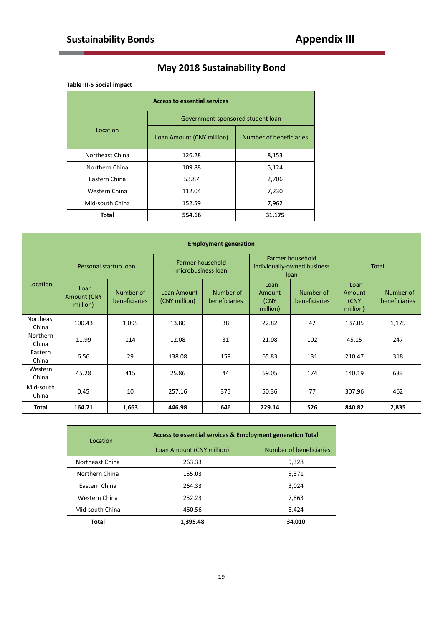# **May 2018 Sustainability Bond**

### **Table III-5 Social impact**

| <b>Access to essential services</b> |                                   |                         |  |  |  |  |
|-------------------------------------|-----------------------------------|-------------------------|--|--|--|--|
|                                     | Government-sponsored student loan |                         |  |  |  |  |
| Location                            | Loan Amount (CNY million)         | Number of beneficiaries |  |  |  |  |
| Northeast China                     | 126.28                            | 8,153                   |  |  |  |  |
| Northern China                      | 109.88                            | 5,124                   |  |  |  |  |
| Eastern China                       | 53.87                             | 2,706                   |  |  |  |  |
| Western China                       | 112.04                            | 7,230                   |  |  |  |  |
| Mid-south China                     | 152.59                            | 7,962                   |  |  |  |  |
| <b>Total</b>                        | 554.66                            | 31,175                  |  |  |  |  |

| <b>Employment generation</b> |                                        |                            |                                        |                            |                                                         |                                   |                                    |                                   |
|------------------------------|----------------------------------------|----------------------------|----------------------------------------|----------------------------|---------------------------------------------------------|-----------------------------------|------------------------------------|-----------------------------------|
|                              | Personal startup loan                  |                            | Farmer household<br>microbusiness loan |                            | Farmer household<br>individually-owned business<br>loan |                                   | <b>Total</b>                       |                                   |
| Location                     | Loan<br><b>Amount (CNY</b><br>million) | Number of<br>beneficiaries | Loan Amount<br>(CNY million)           | Number of<br>beneficiaries | Loan<br><b>Amount</b><br>(CNY<br>million)               | Number of<br><b>beneficiaries</b> | Loan<br>Amount<br>(CNY<br>million) | Number of<br><b>beneficiaries</b> |
| Northeast<br>China           | 100.43                                 | 1,095                      | 13.80                                  | 38                         | 22.82                                                   | 42                                | 137.05                             | 1,175                             |
| <b>Northern</b><br>China     | 11.99                                  | 114                        | 12.08                                  | 31                         | 21.08                                                   | 102                               | 45.15                              | 247                               |
| Eastern<br>China             | 6.56                                   | 29                         | 138.08                                 | 158                        | 65.83                                                   | 131                               | 210.47                             | 318                               |
| Western<br>China             | 45.28                                  | 415                        | 25.86                                  | 44                         | 69.05                                                   | 174                               | 140.19                             | 633                               |
| Mid-south<br>China           | 0.45                                   | 10                         | 257.16                                 | 375                        | 50.36                                                   | 77                                | 307.96                             | 462                               |
| <b>Total</b>                 | 164.71                                 | 1,663                      | 446.98                                 | 646                        | 229.14                                                  | 526                               | 840.82                             | 2,835                             |

| Location        | Access to essential services & Employment generation Total |                         |  |  |  |
|-----------------|------------------------------------------------------------|-------------------------|--|--|--|
|                 | Loan Amount (CNY million)                                  | Number of beneficiaries |  |  |  |
| Northeast China | 263.33                                                     | 9,328                   |  |  |  |
| Northern China  | 155.03                                                     | 5,371                   |  |  |  |
| Eastern China   | 264.33                                                     | 3.024                   |  |  |  |
| Western China   | 252.23                                                     | 7,863                   |  |  |  |
| Mid-south China | 460.56                                                     | 8,424                   |  |  |  |
| Total           | 1.395.48                                                   | 34,010                  |  |  |  |